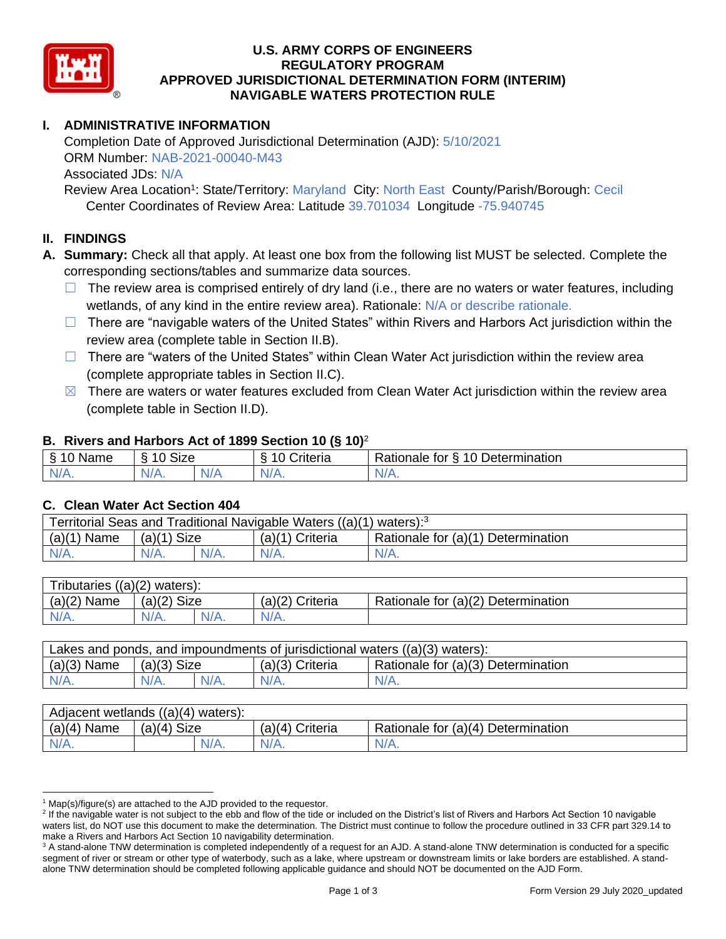

### **U.S. ARMY CORPS OF ENGINEERS REGULATORY PROGRAM APPROVED JURISDICTIONAL DETERMINATION FORM (INTERIM) NAVIGABLE WATERS PROTECTION RULE**

# **I. ADMINISTRATIVE INFORMATION**

Completion Date of Approved Jurisdictional Determination (AJD): 5/10/2021 ORM Number: NAB-2021-00040-M43 Associated JDs: N/A

Review Area Location<sup>1</sup>: State/Territory: Maryland City: North East County/Parish/Borough: Cecil Center Coordinates of Review Area: Latitude 39.701034 Longitude -75.940745

#### **II. FINDINGS**

**A. Summary:** Check all that apply. At least one box from the following list MUST be selected. Complete the corresponding sections/tables and summarize data sources.

- $\Box$  The review area is comprised entirely of dry land (i.e., there are no waters or water features, including wetlands, of any kind in the entire review area). Rationale: N/A or describe rationale.
- $\Box$  There are "navigable waters of the United States" within Rivers and Harbors Act jurisdiction within the review area (complete table in Section II.B).
- ☐ There are "waters of the United States" within Clean Water Act jurisdiction within the review area (complete appropriate tables in Section II.C).
- $\boxtimes$  There are waters or water features excluded from Clean Water Act jurisdiction within the review area (complete table in Section II.D).

### **B. Rivers and Harbors Act of 1899 Section 10 (§ 10)**<sup>2</sup>

| ξ<br>$\sim$<br>.<br>'vame<br>u<br>$\cdot$ | Size<br>$\sim$<br>c |     | $\overline{\phantom{a}}$<br>`rıteria<br>` | $\sim$<br>10<br>-<br>-<br>. .<br><b>Determination</b><br>tor<br>naie |
|-------------------------------------------|---------------------|-----|-------------------------------------------|----------------------------------------------------------------------|
| $N/A$ .                                   | N/<br>$\mathbf{v}$  | N/r | N/A.                                      | INI.<br><b>MII.</b>                                                  |

#### **C. Clean Water Act Section 404**

| Territorial Seas and Traditional Navigable Waters ((a)(1) waters): <sup>3</sup> |                |  |                   |                                    |  |
|---------------------------------------------------------------------------------|----------------|--|-------------------|------------------------------------|--|
| (a)(1)<br>Name                                                                  | Size<br>(a)(1) |  | $(a)(1)$ Criteria | Rationale for (a)(1) Determination |  |
|                                                                                 | $N/A$ .        |  | $N/A$ .           | $N/A$ .                            |  |

| Tributaries $((a)(2)$ waters): |               |         |                   |                                    |  |
|--------------------------------|---------------|---------|-------------------|------------------------------------|--|
| $(a)(2)$ Name                  | $(a)(2)$ Size |         | $(a)(2)$ Criteria | Rationale for (a)(2) Determination |  |
| $N/A$ .                        | $N/A$ .       | $N/A$ . | $N/A$ .           |                                    |  |

| Lakes and ponds, and impoundments of jurisdictional waters $((a)(3)$ waters): |               |  |                 |                                    |  |
|-------------------------------------------------------------------------------|---------------|--|-----------------|------------------------------------|--|
| $(a)(3)$ Name                                                                 | $(a)(3)$ Size |  | (a)(3) Criteria | Rationale for (a)(3) Determination |  |
| $N/A$ .                                                                       | $N/A$ .       |  | $N/A$ .         | $N/A$ .                            |  |

| Adjacent wetlands $((a)(4))$<br>waters): |                |                    |                                    |  |  |
|------------------------------------------|----------------|--------------------|------------------------------------|--|--|
| (a)(4)<br>Name                           | Size<br>(a)(4) | (a)(4)<br>Criteria | Rationale for (a)(4) Determination |  |  |
| N/A.                                     | $N/A$ .        | $N/A$ .            | N/A.                               |  |  |

 $1$  Map(s)/figure(s) are attached to the AJD provided to the requestor.

<sup>&</sup>lt;sup>2</sup> If the navigable water is not subject to the ebb and flow of the tide or included on the District's list of Rivers and Harbors Act Section 10 navigable waters list, do NOT use this document to make the determination. The District must continue to follow the procedure outlined in 33 CFR part 329.14 to make a Rivers and Harbors Act Section 10 navigability determination.

<sup>&</sup>lt;sup>3</sup> A stand-alone TNW determination is completed independently of a request for an AJD. A stand-alone TNW determination is conducted for a specific segment of river or stream or other type of waterbody, such as a lake, where upstream or downstream limits or lake borders are established. A standalone TNW determination should be completed following applicable guidance and should NOT be documented on the AJD Form.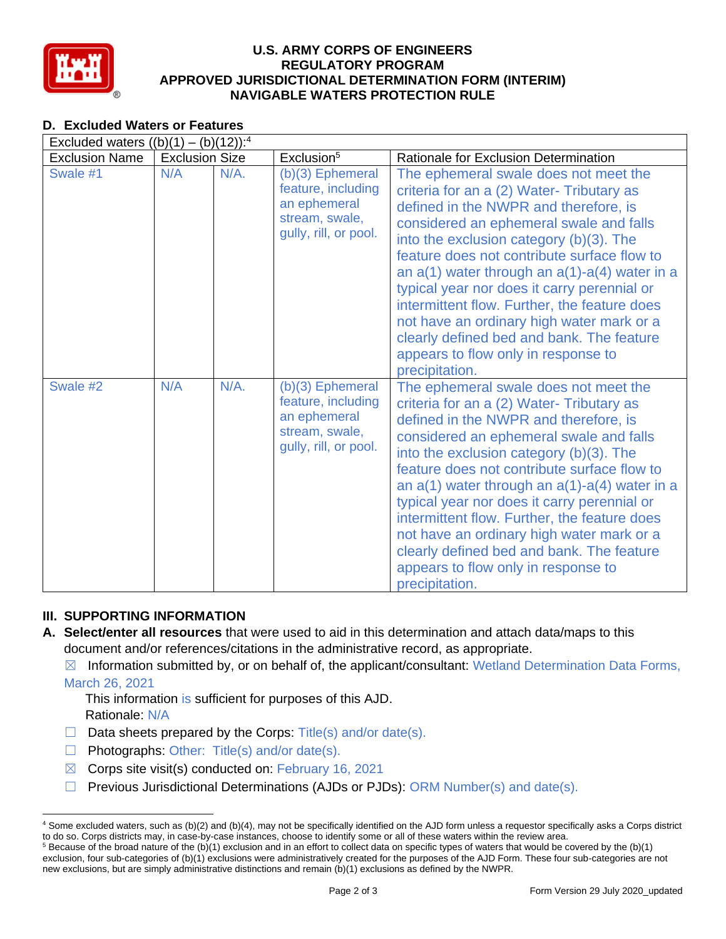

### **U.S. ARMY CORPS OF ENGINEERS REGULATORY PROGRAM APPROVED JURISDICTIONAL DETERMINATION FORM (INTERIM) NAVIGABLE WATERS PROTECTION RULE**

## **D. Excluded Waters or Features**

| Excluded waters $((b)(1) - (b)(12))$ : <sup>4</sup> |                       |         |                                                                                                     |                                                                                                                                                                                                                                                                                                                                                                                                                                                                                                                                                                            |  |
|-----------------------------------------------------|-----------------------|---------|-----------------------------------------------------------------------------------------------------|----------------------------------------------------------------------------------------------------------------------------------------------------------------------------------------------------------------------------------------------------------------------------------------------------------------------------------------------------------------------------------------------------------------------------------------------------------------------------------------------------------------------------------------------------------------------------|--|
| <b>Exclusion Name</b>                               | <b>Exclusion Size</b> |         | Exclusion <sup>5</sup>                                                                              | <b>Rationale for Exclusion Determination</b>                                                                                                                                                                                                                                                                                                                                                                                                                                                                                                                               |  |
| Swale #1                                            | N/A                   | $N/A$ . | (b)(3) Ephemeral<br>feature, including<br>an ephemeral<br>stream, swale,<br>gully, rill, or pool.   | The ephemeral swale does not meet the<br>criteria for an a (2) Water-Tributary as<br>defined in the NWPR and therefore, is<br>considered an ephemeral swale and falls<br>into the exclusion category (b)(3). The<br>feature does not contribute surface flow to<br>an $a(1)$ water through an $a(1)$ - $a(4)$ water in a<br>typical year nor does it carry perennial or<br>intermittent flow. Further, the feature does<br>not have an ordinary high water mark or a<br>clearly defined bed and bank. The feature<br>appears to flow only in response to<br>precipitation. |  |
| Swale #2                                            | N/A                   | $N/A$ . | $(b)(3)$ Ephemeral<br>feature, including<br>an ephemeral<br>stream, swale,<br>gully, rill, or pool. | The ephemeral swale does not meet the<br>criteria for an a (2) Water- Tributary as<br>defined in the NWPR and therefore, is<br>considered an ephemeral swale and falls<br>into the exclusion category (b)(3). The<br>feature does not contribute surface flow to<br>an $a(1)$ water through an $a(1)$ -a(4) water in a<br>typical year nor does it carry perennial or<br>intermittent flow. Further, the feature does<br>not have an ordinary high water mark or a<br>clearly defined bed and bank. The feature<br>appears to flow only in response to<br>precipitation.   |  |

## **III. SUPPORTING INFORMATION**

**A. Select/enter all resources** that were used to aid in this determination and attach data/maps to this document and/or references/citations in the administrative record, as appropriate.

 $\boxtimes$  Information submitted by, or on behalf of, the applicant/consultant: Wetland Determination Data Forms, March 26, 2021

This information is sufficient for purposes of this AJD. Rationale: N/A

- $\Box$  Data sheets prepared by the Corps: Title(s) and/or date(s).
- ☐ Photographs: Other: Title(s) and/or date(s).
- $\boxtimes$  Corps site visit(s) conducted on: February 16, 2021
- ☐ Previous Jurisdictional Determinations (AJDs or PJDs): ORM Number(s) and date(s).

<sup>4</sup> Some excluded waters, such as (b)(2) and (b)(4), may not be specifically identified on the AJD form unless a requestor specifically asks a Corps district to do so. Corps districts may, in case-by-case instances, choose to identify some or all of these waters within the review area.  $5$  Because of the broad nature of the (b)(1) exclusion and in an effort to collect data on specific types of waters that would be covered by the (b)(1)

exclusion, four sub-categories of (b)(1) exclusions were administratively created for the purposes of the AJD Form. These four sub-categories are not new exclusions, but are simply administrative distinctions and remain (b)(1) exclusions as defined by the NWPR.